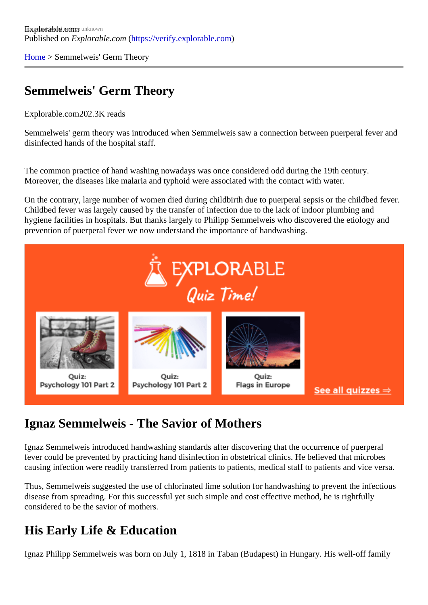[Home](https://verify.explorable.com/)> Semmelweis' Germ Theory

### Semmelweis' Germ Theory

Explorable.com202.3K reads

Semmelweis' germ theory was introduced when Semmelweis saw a connection between puerperal fever and disinfected hands of the hospital staff.

The common practice of hand washing nowadays was once considered odd during the 19th century. Moreover, the diseases like malaria and typhoid were associated with the contact with water.

On the contrary, large number of women died during childbirth due to puerperal sepsis or the childbed fever. Childbed fever was largely caused by the transfer of infection due to the lack of indoor plumbing and hygiene facilities in hospitals. But thanks largely to Philipp Semmelweis who discovered the etiology and prevention of puerperal fever we now understand the importance of handwashing.

#### Ignaz Semmelweis - The Savior of Mothers

Ignaz Semmelweis introduced handwashing standards after discovering that the occurrence of puerperal fever could be prevented by practicing hand disinfection in obstetrical clinics. He believed that microbes causing infection were readily transferred from patients to patients, medical staff to patients and vice versa.

Thus, Semmelweis suggested the use of chlorinated lime solution for handwashing to prevent the infectious disease from spreading. For this successful yet such simple and cost effective method, he is rightfully considered to be the savior of mothers.

#### His Early Life & Education

Ignaz Philipp Semmelweis was born on July 1, 1818 in Taban (Budapest) in Hungary. His well-off family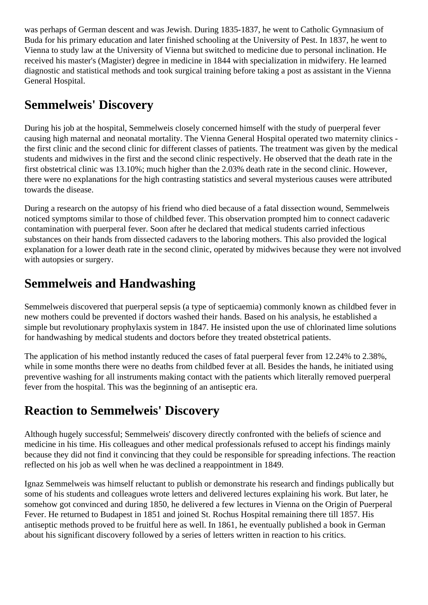was perhaps of German descent and was Jewish. During 1835-1837, he went to Catholic Gymnasium of Buda for his primary education and later finished schooling at the University of Pest. In 1837, he went to Vienna to study law at the University of Vienna but switched to medicine due to personal inclination. He received his master's (Magister) degree in medicine in 1844 with specialization in midwifery. He learned diagnostic and statistical methods and took surgical training before taking a post as assistant in the Vienna General Hospital.

#### **Semmelweis' Discovery**

During his job at the hospital, Semmelweis closely concerned himself with the study of puerperal fever causing high maternal and neonatal mortality. The Vienna General Hospital operated two maternity clinics the first clinic and the second clinic for different classes of patients. The treatment was given by the medical students and midwives in the first and the second clinic respectively. He observed that the death rate in the first obstetrical clinic was 13.10%; much higher than the 2.03% death rate in the second clinic. However, there were no explanations for the high contrasting statistics and several mysterious causes were attributed towards the disease.

During a research on the autopsy of his friend who died because of a fatal dissection wound, Semmelweis noticed symptoms similar to those of childbed fever. This observation prompted him to connect cadaveric contamination with puerperal fever. Soon after he declared that medical students carried infectious substances on their hands from dissected cadavers to the laboring mothers. This also provided the logical explanation for a lower death rate in the second clinic, operated by midwives because they were not involved with autopsies or surgery.

# **Semmelweis and Handwashing**

Semmelweis discovered that puerperal sepsis (a type of septicaemia) commonly known as childbed fever in new mothers could be prevented if doctors washed their hands. Based on his analysis, he established a simple but revolutionary prophylaxis system in 1847. He insisted upon the use of chlorinated lime solutions for handwashing by medical students and doctors before they treated obstetrical patients.

The application of his method instantly reduced the cases of fatal puerperal fever from 12.24% to 2.38%, while in some months there were no deaths from childbed fever at all. Besides the hands, he initiated using preventive washing for all instruments making contact with the patients which literally removed puerperal fever from the hospital. This was the beginning of an antiseptic era.

# **Reaction to Semmelweis' Discovery**

Although hugely successful; Semmelweis' discovery directly confronted with the beliefs of science and medicine in his time. His colleagues and other medical professionals refused to accept his findings mainly because they did not find it convincing that they could be responsible for spreading infections. The reaction reflected on his job as well when he was declined a reappointment in 1849.

Ignaz Semmelweis was himself reluctant to publish or demonstrate his research and findings publically but some of his students and colleagues wrote letters and delivered lectures explaining his work. But later, he somehow got convinced and during 1850, he delivered a few lectures in Vienna on the Origin of Puerperal Fever. He returned to Budapest in 1851 and joined St. Rochus Hospital remaining there till 1857. His antiseptic methods proved to be fruitful here as well. In 1861, he eventually published a book in German about his significant discovery followed by a series of letters written in reaction to his critics.